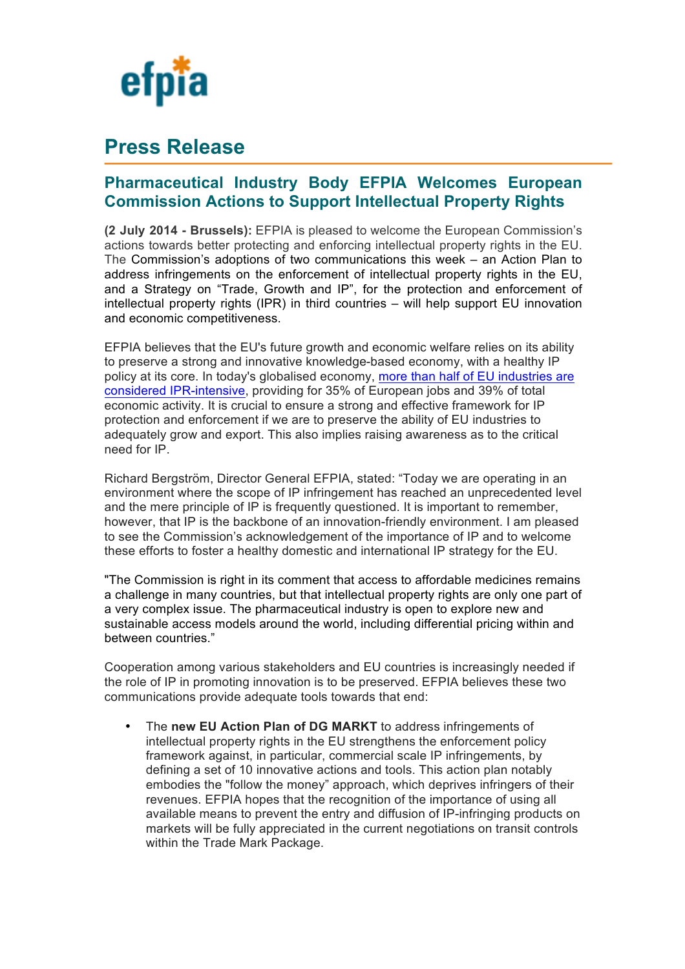

# **Press Release**

## **Pharmaceutical Industry Body EFPIA Welcomes European Commission Actions to Support Intellectual Property Rights**

**(2 July 2014 - Brussels):** EFPIA is pleased to welcome the European Commission's actions towards better protecting and enforcing intellectual property rights in the EU. The Commission's adoptions of two communications this week – an Action Plan to address infringements on the enforcement of intellectual property rights in the EU, and a Strategy on "Trade, Growth and IP", for the protection and enforcement of intellectual property rights (IPR) in third countries – will help support EU innovation and economic competitiveness.

EFPIA believes that the EU's future growth and economic welfare relies on its ability to preserve a strong and innovative knowledge-based economy, with a healthy IP policy at its core. In today's globalised economy, more than half of EU industries are considered IPR-intensive, providing for 35% of European jobs and 39% of total economic activity. It is crucial to ensure a strong and effective framework for IP protection and enforcement if we are to preserve the ability of EU industries to adequately grow and export. This also implies raising awareness as to the critical need for IP.

Richard Bergström, Director General EFPIA, stated: "Today we are operating in an environment where the scope of IP infringement has reached an unprecedented level and the mere principle of IP is frequently questioned. It is important to remember, however, that IP is the backbone of an innovation-friendly environment. I am pleased to see the Commission's acknowledgement of the importance of IP and to welcome these efforts to foster a healthy domestic and international IP strategy for the EU.

"The Commission is right in its comment that access to affordable medicines remains a challenge in many countries, but that intellectual property rights are only one part of a very complex issue. The pharmaceutical industry is open to explore new and sustainable access models around the world, including differential pricing within and between countries."

Cooperation among various stakeholders and EU countries is increasingly needed if the role of IP in promoting innovation is to be preserved. EFPIA believes these two communications provide adequate tools towards that end:

• The **new EU Action Plan of DG MARKT** to address infringements of intellectual property rights in the EU strengthens the enforcement policy framework against, in particular, commercial scale IP infringements, by defining a set of 10 innovative actions and tools. This action plan notably embodies the "follow the money" approach, which deprives infringers of their revenues. EFPIA hopes that the recognition of the importance of using all available means to prevent the entry and diffusion of IP-infringing products on markets will be fully appreciated in the current negotiations on transit controls within the Trade Mark Package.